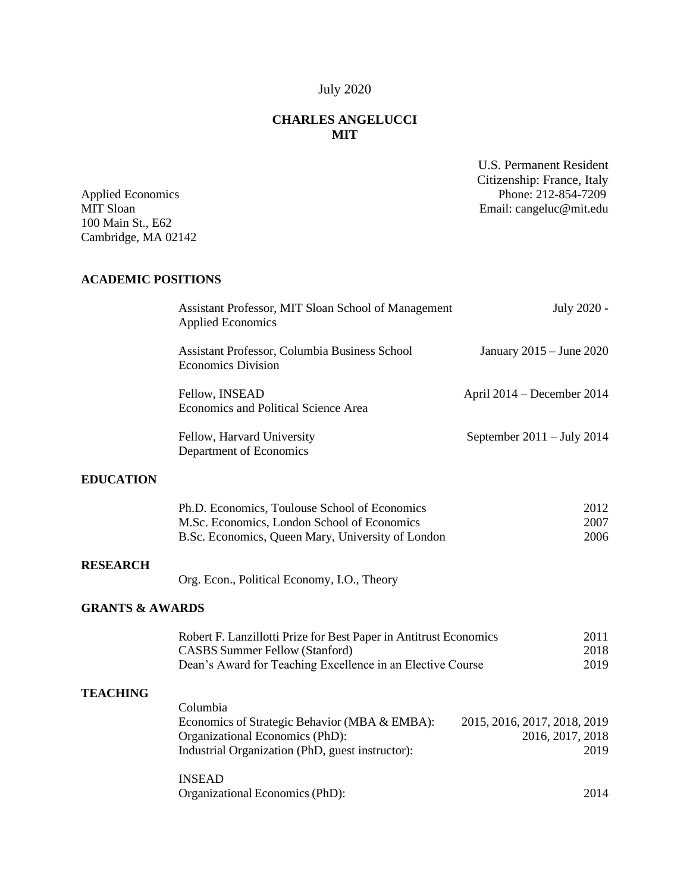# July 2020

## **CHARLES ANGELUCCI MIT**

Applied Economics Phone: 212-854-7209

U.S. Permanent Resident Citizenship: France, Italy

| 100 Main St., E62<br>Cambridge, MA 02142                                                                                                                                 | Email: cangeluc@mit.edu                                  |
|--------------------------------------------------------------------------------------------------------------------------------------------------------------------------|----------------------------------------------------------|
| <b>ACADEMIC POSITIONS</b>                                                                                                                                                |                                                          |
| Assistant Professor, MIT Sloan School of Management<br><b>Applied Economics</b>                                                                                          | July 2020 -                                              |
| Assistant Professor, Columbia Business School<br><b>Economics Division</b>                                                                                               | January 2015 - June 2020                                 |
| Fellow, INSEAD<br>Economics and Political Science Area                                                                                                                   | April 2014 - December 2014                               |
| Fellow, Harvard University<br>Department of Economics                                                                                                                    | September $2011 - July 2014$                             |
|                                                                                                                                                                          |                                                          |
| Ph.D. Economics, Toulouse School of Economics<br>M.Sc. Economics, London School of Economics<br>B.Sc. Economics, Queen Mary, University of London                        | 2012<br>2007<br>2006                                     |
| Org. Econ., Political Economy, I.O., Theory                                                                                                                              |                                                          |
| <b>GRANTS &amp; AWARDS</b>                                                                                                                                               |                                                          |
| Robert F. Lanzillotti Prize for Best Paper in Antitrust Economics<br><b>CASBS Summer Fellow (Stanford)</b><br>Dean's Award for Teaching Excellence in an Elective Course | 2011<br>2018<br>2019                                     |
| Columbia<br>Economics of Strategic Behavior (MBA & EMBA):<br>Organizational Economics (PhD):<br>Industrial Organization (PhD, guest instructor):                         | 2015, 2016, 2017, 2018, 2019<br>2016, 2017, 2018<br>2019 |
|                                                                                                                                                                          | <b>INSEAD</b>                                            |

Organizational Economics (PhD): 2014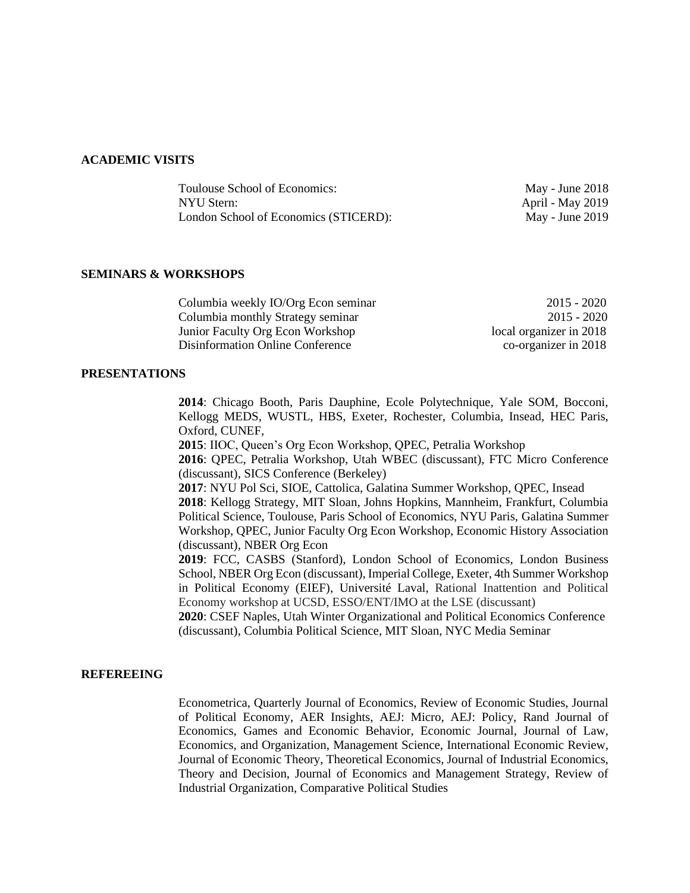#### **ACADEMIC VISITS**

| Toulouse School of Economics:         | May - June 2018         |
|---------------------------------------|-------------------------|
| NYU Stern:                            | <b>April - May 2019</b> |
| London School of Economics (STICERD): | May - June $2019$       |

#### **SEMINARS & WORKSHOPS**

Columbia weekly IO/Org Econ seminar 2015 - 2020 Columbia monthly Strategy seminar 2015 - 2020 Junior Faculty Org Econ Workshop local organizer in 2018 Disinformation Online Conference co-organizer in 2018

#### **PRESENTATIONS**

**2014**: Chicago Booth, Paris Dauphine, Ecole Polytechnique, Yale SOM, Bocconi, Kellogg MEDS, WUSTL, HBS, Exeter, Rochester, Columbia, Insead, HEC Paris, Oxford, CUNEF,

: IIOC, Queen's Org Econ Workshop, QPEC, Petralia Workshop : QPEC, Petralia Workshop, Utah WBEC (discussant), FTC Micro Conference (discussant), SICS Conference (Berkeley) : NYU Pol Sci, SIOE, Cattolica, Galatina Summer Workshop, QPEC, Insead : Kellogg Strategy, MIT Sloan, Johns Hopkins, Mannheim, Frankfurt, Columbia

Political Science, Toulouse, Paris School of Economics, NYU Paris, Galatina Summer Workshop, QPEC, Junior Faculty Org Econ Workshop, Economic History Association (discussant), NBER Org Econ

**2019**: FCC, CASBS (Stanford), London School of Economics, London Business School, NBER Org Econ (discussant), Imperial College, Exeter, 4th Summer Workshop in Political Economy (EIEF), Université Laval, Rational Inattention and Political Economy workshop at UCSD, ESSO/ENT/IMO at the LSE (discussant)

**2020**: CSEF Naples, Utah Winter Organizational and Political Economics Conference (discussant), Columbia Political Science, MIT Sloan, NYC Media Seminar

#### **REFEREEING**

Econometrica, Quarterly Journal of Economics, Review of Economic Studies, Journal of Political Economy, AER Insights, AEJ: Micro, AEJ: Policy, Rand Journal of Economics, Games and Economic Behavior, Economic Journal, Journal of Law, Economics, and Organization, Management Science, International Economic Review, Journal of Economic Theory, Theoretical Economics, Journal of Industrial Economics, Theory and Decision, Journal of Economics and Management Strategy, Review of Industrial Organization, Comparative Political Studies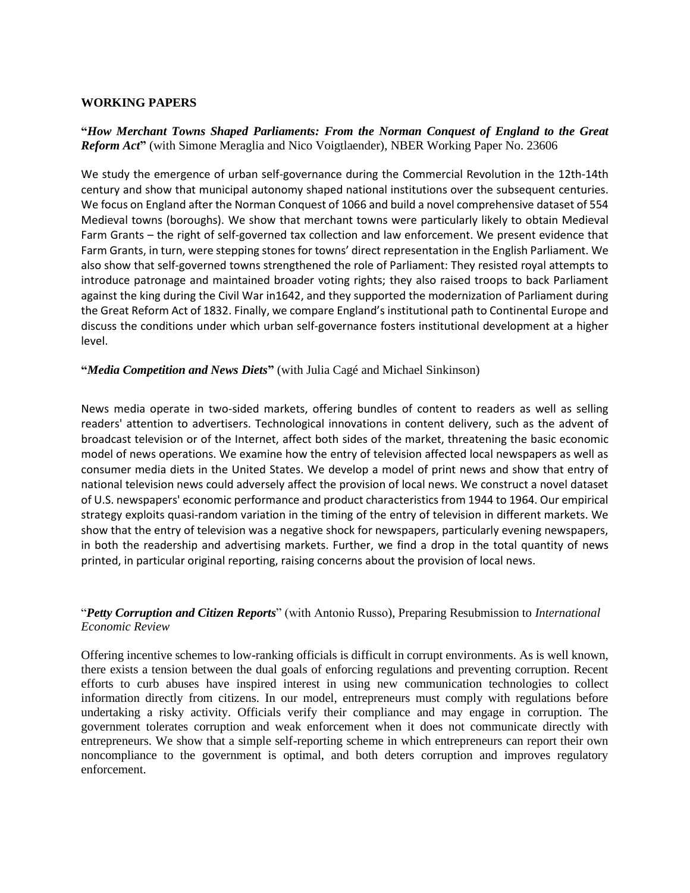## **WORKING PAPERS**

## **"***How Merchant Towns Shaped Parliaments: From the Norman Conquest of England to the Great Reform Act***"** (with Simone Meraglia and Nico Voigtlaender), NBER Working Paper No. 23606

We study the emergence of urban self-governance during the Commercial Revolution in the 12th-14th century and show that municipal autonomy shaped national institutions over the subsequent centuries. We focus on England after the Norman Conquest of 1066 and build a novel comprehensive dataset of 554 Medieval towns (boroughs). We show that merchant towns were particularly likely to obtain Medieval Farm Grants – the right of self-governed tax collection and law enforcement. We present evidence that Farm Grants, in turn, were stepping stones for towns' direct representation in the English Parliament. We also show that self-governed towns strengthened the role of Parliament: They resisted royal attempts to introduce patronage and maintained broader voting rights; they also raised troops to back Parliament against the king during the Civil War in1642, and they supported the modernization of Parliament during the Great Reform Act of 1832. Finally, we compare England's institutional path to Continental Europe and discuss the conditions under which urban self-governance fosters institutional development at a higher level.

#### **"***Media Competition and News Diets***"** (with Julia Cagé and Michael Sinkinson)

News media operate in two-sided markets, offering bundles of content to readers as well as selling readers' attention to advertisers. Technological innovations in content delivery, such as the advent of broadcast television or of the Internet, affect both sides of the market, threatening the basic economic model of news operations. We examine how the entry of television affected local newspapers as well as consumer media diets in the United States. We develop a model of print news and show that entry of national television news could adversely affect the provision of local news. We construct a novel dataset of U.S. newspapers' economic performance and product characteristics from 1944 to 1964. Our empirical strategy exploits quasi-random variation in the timing of the entry of television in different markets. We show that the entry of television was a negative shock for newspapers, particularly evening newspapers, in both the readership and advertising markets. Further, we find a drop in the total quantity of news printed, in particular original reporting, raising concerns about the provision of local news.

## "*Petty Corruption and Citizen Reports*" (with Antonio Russo), Preparing Resubmission to *International Economic Review*

Offering incentive schemes to low-ranking officials is difficult in corrupt environments. As is well known, there exists a tension between the dual goals of enforcing regulations and preventing corruption. Recent efforts to curb abuses have inspired interest in using new communication technologies to collect information directly from citizens. In our model, entrepreneurs must comply with regulations before undertaking a risky activity. Officials verify their compliance and may engage in corruption. The government tolerates corruption and weak enforcement when it does not communicate directly with entrepreneurs. We show that a simple self-reporting scheme in which entrepreneurs can report their own noncompliance to the government is optimal, and both deters corruption and improves regulatory enforcement.